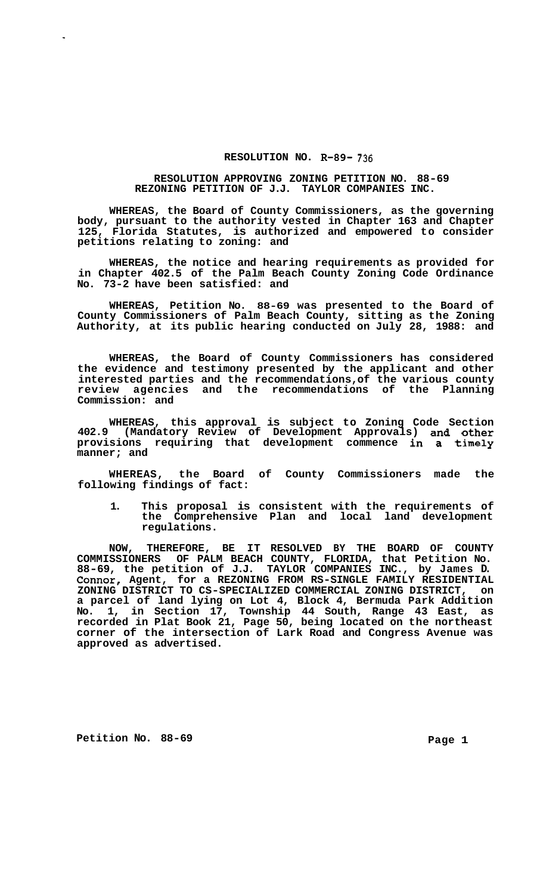## **RESOLUTION NO. R-89- 736**

## **RESOLUTION APPROVING ZONING PETITION NO. 88-69 REZONING PETITION OF J.J. TAYLOR COMPANIES INC.**

**WHEREAS, the Board of County Commissioners, as the governing body, pursuant to the authority vested in Chapter 163 and Chapter 125, Florida Statutes, is authorized and empowered to consider petitions relating to zoning: and** 

**WHEREAS, the notice and hearing requirements as provided for in Chapter 402.5 of the Palm Beach County Zoning Code Ordinance No. 73-2 have been satisfied: and** 

**WHEREAS, Petition No. 88-69 was presented to the Board of County Commissioners of Palm Beach County, sitting as the Zoning Authority, at its public hearing conducted on July 28, 1988: and** 

**WHEREAS, the Board of County Commissioners has considered the evidence and testimony presented by the applicant and other interested parties and the recommendations, of the various county review agencies and the recommendations of the Planning Commission: and** 

**WHEREAS, this approval is subject to Zoning Code Section 402.9 (Mandatory Review of Development Approvals) and other provisions requiring that development commence in a timely manner; and** 

**WHEREAS, the Board of County Commissioners made the following findings of fact:** 

**1. This proposal is consistent with the requirements of the Comprehensive Plan and local land development regulations.** 

**NOW, THEREFORE, BE IT RESOLVED BY THE BOARD OF COUNTY COMMISSIONERS OF PALM BEACH COUNTY, FLORIDA, that Petition No. 88-69, the petition of J.J. TAYLOR COMPANIES INC., by James D. Connor, Agent, for a REZONING FROM RS-SINGLE FAMILY RESIDENTIAL ZONING DISTRICT TO CS-SPECIALIZED COMMERCIAL ZONING DISTRICT, on a parcel of land lying on Lot 4, Block 4, Bermuda Park Addition No. 1, in Section 17, Township 44 South, Range 43 East, as recorded in Plat Book 21, Page 50, being located on the northeast corner of the intersection of Lark Road and Congress Avenue was approved as advertised.** 

**Petition No. 88-69 Page 1** 

 $\mathbf{r}$